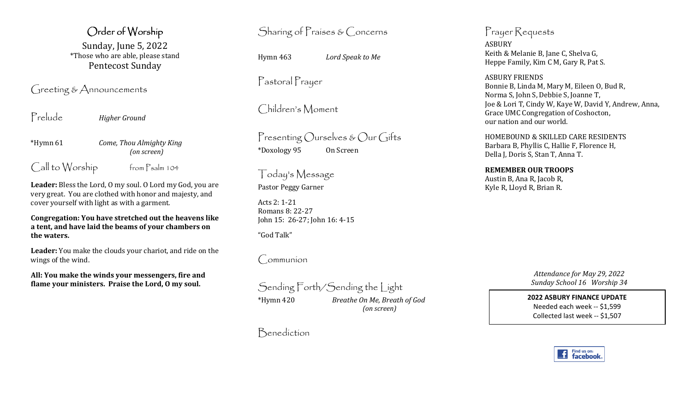Order of Worship Sunday, June 5, 2022 \*Those who are able, please stand Pentecost Sunday

Greeting & Announcements

Prelude *Higher Ground* 

\*Hymn 61 *Come, Thou Almighty King(on screen)* 

Call to Worship from Psalm 104

**Leader:** Bless the Lord, O my soul. O Lord my God, you are very great. You are clothed with honor and majesty, and cover yourself with light as with a garment.

**Congregation: You have stretched out the heavens like a tent, and have laid the beams of your chambers onthe waters.** 

**Leader:** You make the clouds your chariot, and ride on the wings of the wind.

**All: You make the winds your messengers, fire and flame your ministers. Praise the Lord, O my soul.** 

Sharing of Praises & Concerns

Hymn 463 *Lord Speak to Me*

Pastoral Prayer

Children's Moment

Presenting Ourselves & Our Gifts \*Doxology 95 On Screen

Today's Message Pastor Peggy Garner

Acts 2: 1-21 Romans 8: 22-27 John 15: 26-27; John 16: 4-15

"God Talk"

Communion

Sending Forth/Sending the Light \*Hymn 420 *Breathe On Me, Breath of God (on screen)* 

Benediction

Prayer Requests ASBURY Keith & Melanie B, Jane C, Shelva G, Heppe Family, Kim C M, Gary R, Pat S.

ASBURY FRIENDS Bonnie B, Linda M, Mary M, Eileen O, Bud R, Norma S, John S, Debbie S, Joanne T, Joe & Lori T, Cindy W, Kaye W, David Y, Andrew, Anna, Grace UMC Congregation of Coshocton, our nation and our world.

HOMEBOUND & SKILLED CARE RESIDENTS Barbara B, Phyllis C, Hallie F, Florence H, Della J, Doris S, Stan T, Anna T.

**REMEMBER OUR TROOPS** Austin B, Ana R, Jacob R, Kyle R, Lloyd R, Brian R.

> *Attendance for May 29, 2022 Sunday School 16 Worship 34*

**2022 ASBURY FINANCE UPDATE** Needed each week -- \$1,599 Collected last week -- \$1,507